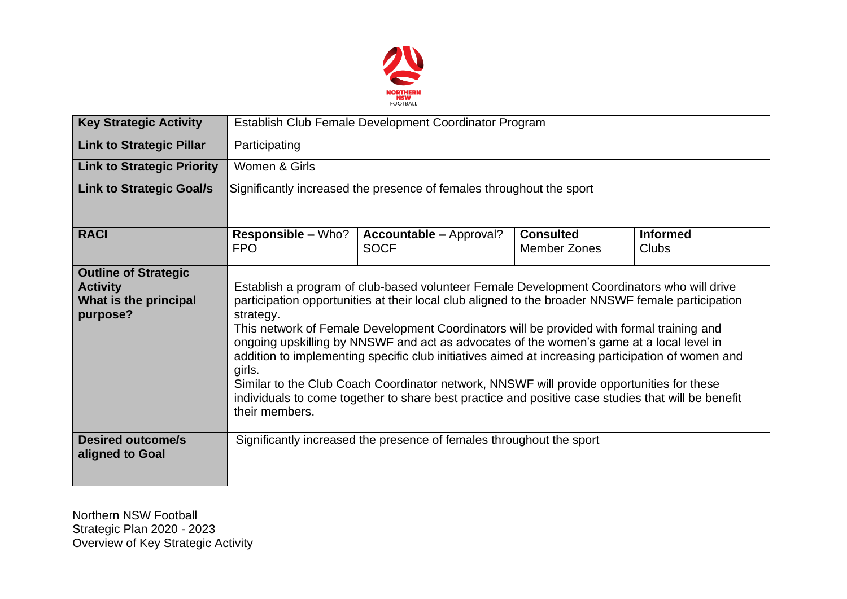

| <b>Key Strategic Activity</b>                                                       | Establish Club Female Development Coordinator Program                                                                                                                                                                                                                                                                                                                                                                                                                                                                                                                                                                                                                                                                                     |                                                                      |                                         |                                 |  |  |  |  |
|-------------------------------------------------------------------------------------|-------------------------------------------------------------------------------------------------------------------------------------------------------------------------------------------------------------------------------------------------------------------------------------------------------------------------------------------------------------------------------------------------------------------------------------------------------------------------------------------------------------------------------------------------------------------------------------------------------------------------------------------------------------------------------------------------------------------------------------------|----------------------------------------------------------------------|-----------------------------------------|---------------------------------|--|--|--|--|
| <b>Link to Strategic Pillar</b>                                                     | Participating                                                                                                                                                                                                                                                                                                                                                                                                                                                                                                                                                                                                                                                                                                                             |                                                                      |                                         |                                 |  |  |  |  |
| <b>Link to Strategic Priority</b>                                                   | Women & Girls                                                                                                                                                                                                                                                                                                                                                                                                                                                                                                                                                                                                                                                                                                                             |                                                                      |                                         |                                 |  |  |  |  |
| <b>Link to Strategic Goal/s</b>                                                     | Significantly increased the presence of females throughout the sport                                                                                                                                                                                                                                                                                                                                                                                                                                                                                                                                                                                                                                                                      |                                                                      |                                         |                                 |  |  |  |  |
| <b>RACI</b>                                                                         | <b>Responsible – Who?</b><br><b>FPO</b>                                                                                                                                                                                                                                                                                                                                                                                                                                                                                                                                                                                                                                                                                                   | <b>Accountable - Approval?</b><br><b>SOCF</b>                        | <b>Consulted</b><br><b>Member Zones</b> | <b>Informed</b><br><b>Clubs</b> |  |  |  |  |
| <b>Outline of Strategic</b><br><b>Activity</b><br>What is the principal<br>purpose? | Establish a program of club-based volunteer Female Development Coordinators who will drive<br>participation opportunities at their local club aligned to the broader NNSWF female participation<br>strategy.<br>This network of Female Development Coordinators will be provided with formal training and<br>ongoing upskilling by NNSWF and act as advocates of the women's game at a local level in<br>addition to implementing specific club initiatives aimed at increasing participation of women and<br>girls.<br>Similar to the Club Coach Coordinator network, NNSWF will provide opportunities for these<br>individuals to come together to share best practice and positive case studies that will be benefit<br>their members. |                                                                      |                                         |                                 |  |  |  |  |
| <b>Desired outcome/s</b><br>aligned to Goal                                         |                                                                                                                                                                                                                                                                                                                                                                                                                                                                                                                                                                                                                                                                                                                                           | Significantly increased the presence of females throughout the sport |                                         |                                 |  |  |  |  |

Northern NSW Football Strategic Plan 2020 - 2023 Overview of Key Strategic Activity